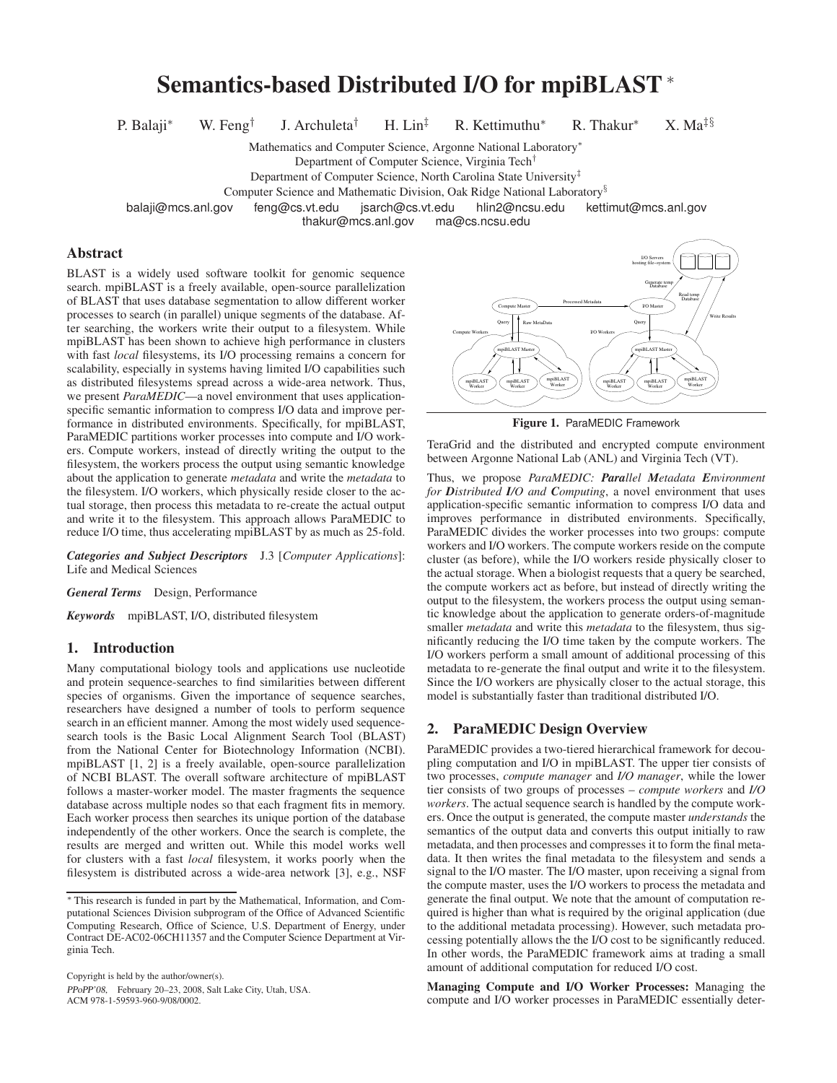# **Semantics-based Distributed I/O for mpiBLAST**<sup>∗</sup>

P. Balaji<sup>∗</sup> W. Feng<sup>†</sup>

J. Archuleta<sup>†</sup> H. Lin<sup>‡</sup> R. Kettimuthu<sup>\*</sup> R. Thakur<sup>\*</sup> X. Ma<sup>‡§</sup>

Mathematics and Computer Science, Argonne National Laboratory<sup>∗</sup>

Department of Computer Science, Virginia Tech†

Department of Computer Science, North Carolina State University<sup>‡</sup>

Computer Science and Mathematic Division, Oak Ridge National Laboratory§

balaji@mcs.anl.gov feng@cs.vt.edu jsarch@cs.vt.edu hlin2@ncsu.edu kettimut@mcs.anl.gov

thakur@mcs.anl.gov

#### **Abstract**

BLAST is a widely used software toolkit for genomic sequence search. mpiBLAST is a freely available, open-source parallelization of BLAST that uses database segmentation to allow different worker processes to search (in parallel) unique segments of the database. After searching, the workers write their output to a filesystem. While mpiBLAST has been shown to achieve high performance in clusters with fast *local* filesystems, its I/O processing remains a concern for scalability, especially in systems having limited I/O capabilities such as distributed filesystems spread across a wide-area network. Thus, we present *ParaMEDIC*—a novel environment that uses applicationspecific semantic information to compress I/O data and improve performance in distributed environments. Specifically, for mpiBLAST, ParaMEDIC partitions worker processes into compute and I/O workers. Compute workers, instead of directly writing the output to the filesystem, the workers process the output using semantic knowledge about the application to generate *metadata* and write the *metadata* to the filesystem. I/O workers, which physically reside closer to the actual storage, then process this metadata to re-create the actual output and write it to the filesystem. This approach allows ParaMEDIC to reduce I/O time, thus accelerating mpiBLAST by as much as 25-fold.

*Categories and Subject Descriptors* J.3 [*Computer Applications*]: Life and Medical Sciences

*General Terms* Design, Performance

*Keywords* mpiBLAST, I/O, distributed filesystem

#### **1. Introduction**

Many computational biology tools and applications use nucleotide and protein sequence-searches to find similarities between different species of organisms. Given the importance of sequence searches, researchers have designed a number of tools to perform sequence search in an efficient manner. Among the most widely used sequencesearch tools is the Basic Local Alignment Search Tool (BLAST) from the National Center for Biotechnology Information (NCBI). mpiBLAST [1, 2] is a freely available, open-source parallelization of NCBI BLAST. The overall software architecture of mpiBLAST follows a master-worker model. The master fragments the sequence database across multiple nodes so that each fragment fits in memory. Each worker process then searches its unique portion of the database independently of the other workers. Once the search is complete, the results are merged and written out. While this model works well for clusters with a fast *local* filesystem, it works poorly when the filesystem is distributed across a wide-area network [3], e.g., NSF

Copyright is held by the author/owner(s). PPoPP'08, February 20–23, 2008, Salt Lake City, Utah, USA. ACM 978-1-59593-960-9/08/0002.



**Figure 1.** ParaMEDIC Framework

TeraGrid and the distributed and encrypted compute environment between Argonne National Lab (ANL) and Virginia Tech (VT).

Thus, we propose *ParaMEDIC: Parallel Metadata Environment for Distributed I/O and Computing*, a novel environment that uses application-specific semantic information to compress I/O data and improves performance in distributed environments. Specifically, ParaMEDIC divides the worker processes into two groups: compute workers and I/O workers. The compute workers reside on the compute cluster (as before), while the I/O workers reside physically closer to the actual storage. When a biologist requests that a query be searched, the compute workers act as before, but instead of directly writing the output to the filesystem, the workers process the output using semantic knowledge about the application to generate orders-of-magnitude smaller *metadata* and write this *metadata* to the filesystem, thus significantly reducing the I/O time taken by the compute workers. The I/O workers perform a small amount of additional processing of this metadata to re-generate the final output and write it to the filesystem. Since the I/O workers are physically closer to the actual storage, this model is substantially faster than traditional distributed I/O.

#### **2. ParaMEDIC Design Overview**

ParaMEDIC provides a two-tiered hierarchical framework for decoupling computation and I/O in mpiBLAST. The upper tier consists of two processes, *compute manager* and *I/O manager*, while the lower tier consists of two groups of processes – *compute workers* and *I/O workers*. The actual sequence search is handled by the compute workers. Once the output is generated, the compute master *understands* the semantics of the output data and converts this output initially to raw metadata, and then processes and compresses it to form the final metadata. It then writes the final metadata to the filesystem and sends a signal to the I/O master. The I/O master, upon receiving a signal from the compute master, uses the I/O workers to process the metadata and generate the final output. We note that the amount of computation required is higher than what is required by the original application (due to the additional metadata processing). However, such metadata processing potentially allows the the I/O cost to be significantly reduced. In other words, the ParaMEDIC framework aims at trading a small amount of additional computation for reduced I/O cost.

**Managing Compute and I/O Worker Processes:** Managing the compute and I/O worker processes in ParaMEDIC essentially deter-

<sup>∗</sup> This research is funded in part by the Mathematical, Information, and Computational Sciences Division subprogram of the Office of Advanced Scientific Computing Research, Office of Science, U.S. Department of Energy, under Contract DE-AC02-06CH11357 and the Computer Science Department at Virginia Tech.